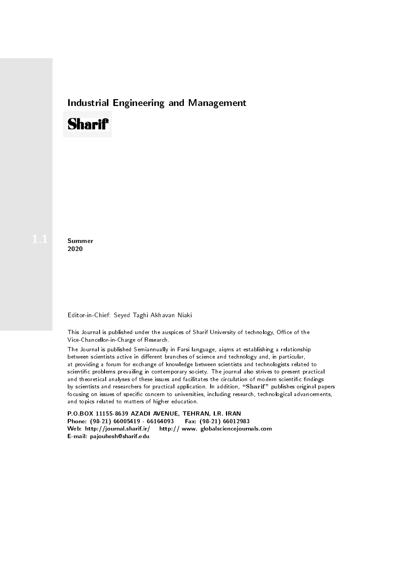## Industrial Engineering and Management

# **Sharif**

**Summer** 2020

#### Editor-in-Chief: Seyed Taghi Akhavan Niaki

This Journal is published under the auspices of Sharif University of technology, Office of the Vice-Chancellor-in-Charge of Research.

The Journal is published Semiannually in Farsi language, aiqms at establishing a relationship between scientists active in different branches of science and technology and, in particular, at providing a forum for exchange of knowledge between scientists and technologists related to scientic problems prevailing in contemporary society. The journal also strives to present practical and theoretical analyses of these issues and facilitates the circulation of modern scientific findings by scientists and researchers for practical application. In addition, "Sharif" publishes original papers focusing on issues of specific concern to universities, including research, technological advancements, and topics related to matters of higher education.

P.O.BOX 11155-8639 AZADI AVENUE, TEHRAN, I.R. IRAN Phone: (98-21) 66005419 - 66164093 Fax: (98-21) 66012983 Web: http://journal.sharif.ir/ http:// www. globalsciencejournals.com E-mail: pajouhesh@sharif.edu